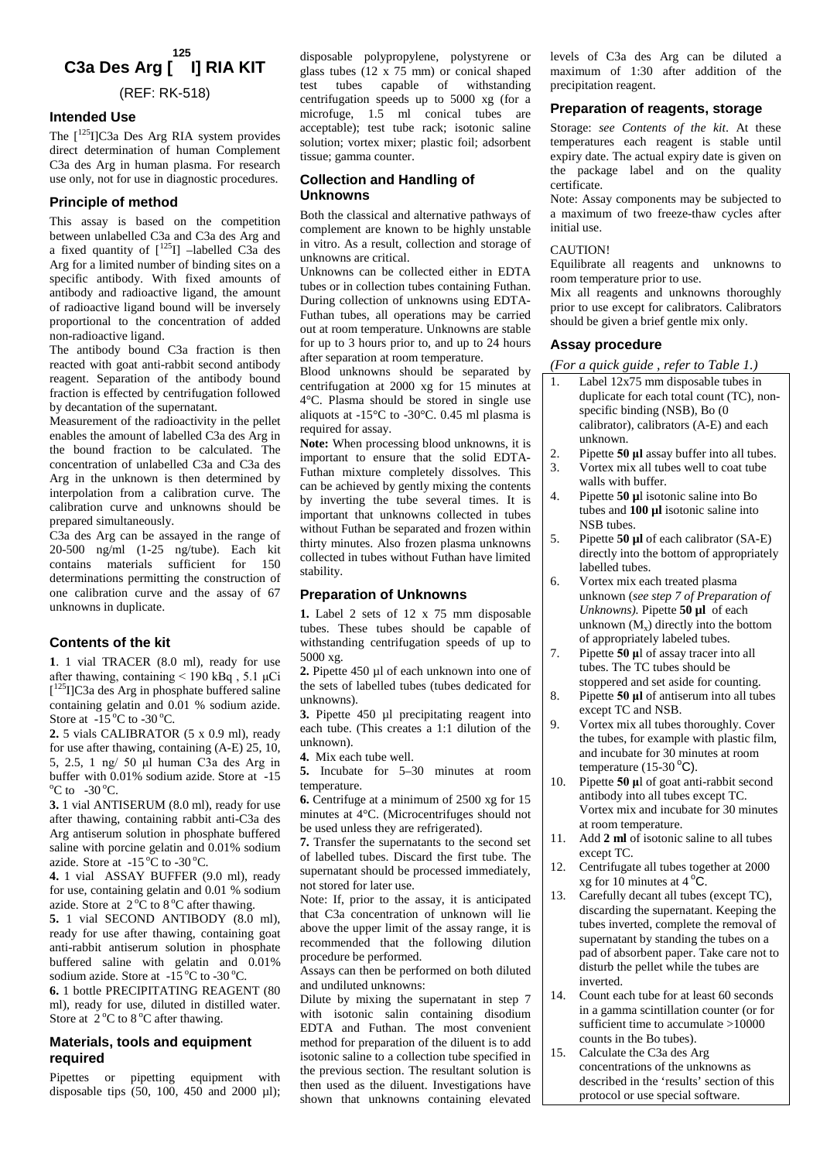# **C3a Des Arg [ I] RIA KIT 125**

(REF: RK-518)

# **Intended Use**

The  $\int^{125}$ I]C3a Des Arg RIA system provides direct determination of human Complement C3a des Arg in human plasma. For research use only, not for use in diagnostic procedures.

# **Principle of method**

This assay is based on the competition between unlabelled C3a and C3a des Arg and a fixed quantity of  $\lceil \frac{125}{1} \rceil$  –labelled C3a des Arg for a limited number of binding sites on a specific antibody. With fixed amounts of antibody and radioactive ligand, the amount of radioactive ligand bound will be inversely proportional to the concentration of added non-radioactive ligand.

The antibody bound C3a fraction is then reacted with goat anti-rabbit second antibody reagent. Separation of the antibody bound fraction is effected by centrifugation followed by decantation of the supernatant.

Measurement of the radioactivity in the pellet enables the amount of labelled C3a des Arg in the bound fraction to be calculated. The concentration of unlabelled C3a and C3a des Arg in the unknown is then determined by interpolation from a calibration curve. The calibration curve and unknowns should be prepared simultaneously.

C3a des Arg can be assayed in the range of 20-500 ng/ml (1-25 ng/tube). Each kit contains materials sufficient for 150 determinations permitting the construction of one calibration curve and the assay of 67 unknowns in duplicate.

# **Contents of the kit**

**1**. 1 vial TRACER (8.0 ml), ready for use after thawing, containing  $\leq 190$  kBq, 5.1 µCi [<sup>125</sup>I]C3a des Arg in phosphate buffered saline containing gelatin and 0.01 % sodium azide. Store at  $-15\,^{\circ}\text{C}$  to  $-30\,^{\circ}\text{C}$ .

**2.** 5 vials CALIBRATOR (5 x 0.9 ml), ready for use after thawing, containing (A-E) 25, 10, 5, 2.5, 1 ng/ 50 μl human C3a des Arg in buffer with 0.01% sodium azide. Store at -15  $\mathrm{^{\circ}C}$  to  $-30\mathrm{^{\circ}C}$ .

**3.** 1 vial ANTISERUM (8.0 ml), ready for use after thawing, containing rabbit anti-C3a des Arg antiserum solution in phosphate buffered saline with porcine gelatin and 0.01% sodium azide. Store at  $-15\,^{\circ}\text{C}$  to  $-30\,^{\circ}\text{C}$ .

**4.** 1 vial ASSAY BUFFER (9.0 ml), ready for use, containing gelatin and 0.01 % sodium azide. Store at  $2^{\circ}$ C to  $8^{\circ}$ C after thawing.

**5.** 1 vial SECOND ANTIBODY (8.0 ml), ready for use after thawing, containing goat anti-rabbit antiserum solution in phosphate buffered saline with gelatin and 0.01% sodium azide. Store at  $-15\,^{\circ}\text{C}$  to  $-30\,^{\circ}\text{C}$ .

**6.** 1 bottle PRECIPITATING REAGENT (80 ml), ready for use, diluted in distilled water. Store at  $2^{\circ}$ C to  $8^{\circ}$ C after thawing.

## **Materials, tools and equipment required**

Pipettes or pipetting equipment with disposable tips (50, 100, 450 and 2000  $\mu$ l); disposable polypropylene, polystyrene or glass tubes (12 x 75 mm) or conical shaped test tubes capable of withstanding centrifugation speeds up to 5000 xg (for a microfuge, 1.5 ml conical tubes are acceptable); test tube rack; isotonic saline solution; vortex mixer; plastic foil; adsorbent tissue; gamma counter.

# **Collection and Handling of Unknowns**

Both the classical and alternative pathways of complement are known to be highly unstable in vitro. As a result, collection and storage of unknowns are critical.

Unknowns can be collected either in EDTA tubes or in collection tubes containing Futhan. During collection of unknowns using EDTA-Futhan tubes, all operations may be carried out at room temperature. Unknowns are stable for up to 3 hours prior to, and up to 24 hours after separation at room temperature.

Blood unknowns should be separated by centrifugation at 2000 xg for 15 minutes at 4°C. Plasma should be stored in single use aliquots at -15°C to -30°C. 0.45 ml plasma is required for assay.

**Note:** When processing blood unknowns, it is  $\begin{bmatrix} 2 \end{bmatrix}$ important to ensure that the solid EDTA-Futhan mixture completely dissolves. This can be achieved by gently mixing the contents by inverting the tube several times. It is  $\left| \right|$  4. important that unknowns collected in tubes without Futhan be separated and frozen within thirty minutes. Also frozen plasma unknowns collected in tubes without Futhan have limited stability.

### **Preparation of Unknowns**

**1.** Label 2 sets of 12 x 75 mm disposable tubes. These tubes should be capable of with standing centrifugation speeds of up to  $\begin{bmatrix} 5000 \text{ yr} \\ 7.1 \end{bmatrix}$ 5000 xg.

**2.** Pipette 450 ul of each unknown into one of the sets of labelled tubes (tubes dedicated for unknowns).

**3.** Pipette 450 µl precipitating reagent into each tube. (This creates a 1:1 dilution of the unknown).

**4.** Mix each tube well.

**5.** Incubate for 5–30 minutes at room temperature.

**6.** Centrifuge at a minimum of 2500 xg for 15 minutes at 4°C. (Microcentrifuges should not be used unless they are refrigerated).

**7.** Transfer the supernatants to the second set of labelled tubes. Discard the first tube. The supernatant should be processed immediately, not stored for later use.

Note: If, prior to the assay, it is anticipated that C3a concentration of unknown will lie above the upper limit of the assay range, it is recommended that the following dilution procedure be performed.

Assays can then be performed on both diluted and undiluted unknowns:

Dilute by mixing the supernatant in step 7 with isotonic salin containing disodium EDTA and Futhan. The most convenient method for preparation of the diluent is to add isotonic saline to a collection tube specified in  $\left| \right|$  15. the previous section. The resultant solution is then used as the diluent. Investigations have shown that unknowns containing elevated

levels of C3a des Arg can be diluted a maximum of 1:30 after addition of the precipitation reagent.

# **Preparation of reagents, storage**

Storage: *see Contents of the kit*. At these temperatures each reagent is stable until expiry date. The actual expiry date is given on the package label and on the quality certificate.

Note: Assay components may be subjected to a maximum of two freeze-thaw cycles after initial use.

### CAUTION!

Equilibrate all reagents and unknowns to room temperature prior to use.

Mix all reagents and unknowns thoroughly prior to use except for calibrators. Calibrators should be given a brief gentle mix only.

### **Assay procedure**

*(For a quick guide , refer to Table 1.)*

Label 12x75 mm disposable tubes in duplicate for each total count (TC), nonspecific binding (NSB), Bo (0 calibrator), calibrators (A-E) and each unknown.

Pipette **50 µl** assay buffer into all tubes.

- 3. Vortex mix all tubes well to coat tube walls with buffer.
- Pipette **50 µ** isotonic saline into Bo tubes and **100 µl** isotonic saline into NSB tubes.
- 5. Pipette **50 µl** of each calibrator (SA-E) directly into the bottom of appropriately labelled tubes.
- 6. Vortex mix each treated plasma unknown (*see step 7 of Preparation of Unknowns).* Pipette **50 µl** of each unknown  $(M_x)$  directly into the bottom of appropriately labeled tubes.
- 7. Pipette **50 μ**l of assay tracer into all tubes. The TC tubes should be stoppered and set aside for counting.
- 8. Pipette **50 μl** of antiserum into all tubes except TC and NSB.
- 9. Vortex mix all tubes thoroughly. Cover the tubes, for example with plastic film, and incubate for 30 minutes at room temperature  $(15-30<sup>o</sup>C)$ .
- 10. Pipette **50 μ**l of goat anti-rabbit second antibody into all tubes except TC. Vortex mix and incubate for 30 minutes at room temperature.
- 11. Add **2 ml** of isotonic saline to all tubes except TC.
- 12. Centrifugate all tubes together at 2000 xg for 10 minutes at  $4^{\circ}$ C.
- 13. Carefully decant all tubes (except TC), discarding the supernatant. Keeping the tubes inverted, complete the removal of supernatant by standing the tubes on a pad of absorbent paper. Take care not to disturb the pellet while the tubes are inverted.
- 14. Count each tube for at least 60 seconds in a gamma scintillation counter (or for sufficient time to accumulate >10000 counts in the Bo tubes).
- Calculate the C3a des Arg concentrations of the unknowns as described in the 'results' section of this protocol or use special software.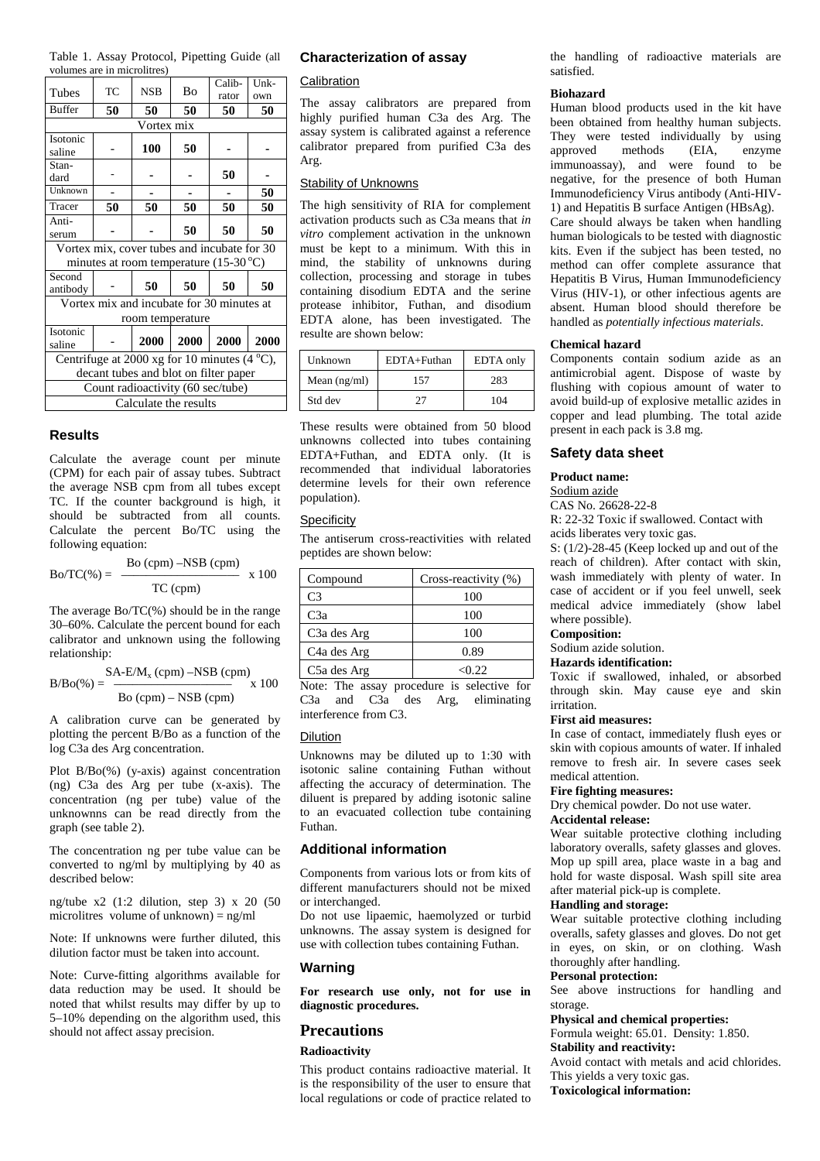Table 1. Assay Protocol, Pipetting Guide (all volumes are in microlitres)

| Tubes                                                 | TC | <b>NSB</b> | Bo   | Calib-<br>rator | Unk-<br>own |  |
|-------------------------------------------------------|----|------------|------|-----------------|-------------|--|
| <b>Buffer</b>                                         | 50 | 50         | 50   | 50              | 50          |  |
| Vortex mix                                            |    |            |      |                 |             |  |
| Isotonic                                              |    | 100        | 50   |                 |             |  |
| saline                                                |    |            |      |                 |             |  |
| Stan-                                                 |    |            |      |                 |             |  |
| dard                                                  |    |            |      | 50              |             |  |
| $\overline{U}$ nknown                                 |    |            |      |                 | 50          |  |
| Tracer                                                | 50 | 50         | 50   | 50              | 50          |  |
| Anti-                                                 |    |            |      |                 |             |  |
| serum                                                 |    |            | 50   | 50              | 50          |  |
| Vortex mix, cover tubes and incubate for 30           |    |            |      |                 |             |  |
| minutes at room temperature $(15-30^{\circ}C)$        |    |            |      |                 |             |  |
| Second                                                |    | 50         | 50   |                 |             |  |
| antibody                                              |    |            |      | 50              | 50          |  |
| Vortex mix and incubate for 30 minutes at             |    |            |      |                 |             |  |
| room temperature                                      |    |            |      |                 |             |  |
| Isotonic                                              |    |            |      |                 |             |  |
| saline                                                |    | 2000       | 2000 | 2000            | 2000        |  |
| Centrifuge at 2000 xg for 10 minutes $(4^{\circ}C)$ , |    |            |      |                 |             |  |
| decant tubes and blot on filter paper                 |    |            |      |                 |             |  |
| Count radioactivity (60 sec/tube)                     |    |            |      |                 |             |  |
| Calculate the results                                 |    |            |      |                 |             |  |
|                                                       |    |            |      |                 |             |  |

### **Results**

Calculate the average count per minute (CPM) for each pair of assay tubes. Subtract the average NSB cpm from all tubes except TC. If the counter background is high, it should be subtracted from all counts. Calculate the percent Bo/TC using the following equation:

$$
Bo/TC(\%) = \frac{Bo (cpm) - NSB (cpm)}{TC (cpm)} \times 100
$$

The average Bo/TC(%) should be in the range 30–60%. Calculate the percent bound for each calibrator and unknown using the following relationship:

$$
B/Bo(\%) = \frac{SA-E/M_x (cpm) - NSB (cpm)}{Bo (cpm) - NSB (cpm)} \times 100
$$

A calibration curve can be generated by plotting the percent B/Bo as a function of the log C3a des Arg concentration.

Plot B/Bo(%) (y-axis) against concentration (ng) C3a des Arg per tube (x-axis). The concentration (ng per tube) value of the unknownns can be read directly from the graph (see table 2).

The concentration ng per tube value can be converted to ng/ml by multiplying by 40 as described below:

ng/tube x2 (1:2 dilution, step 3) x 20 (50 microlitres volume of unknown) =  $ng/ml$ 

Note: If unknowns were further diluted, this dilution factor must be taken into account.

Note: Curve-fitting algorithms available for data reduction may be used. It should be noted that whilst results may differ by up to 5–10% depending on the algorithm used, this should not affect assay precision.

#### **Characterization of assay**

## **Calibration**

The assay calibrators are prepared from highly purified human C3a des Arg. The assay system is calibrated against a reference calibrator prepared from purified C3a des Arg.

### Stability of Unknowns

The high sensitivity of RIA for complement activation products such as C3a means that *in vitro* complement activation in the unknown must be kept to a minimum. With this in mind, the stability of unknowns during collection, processing and storage in tubes containing disodium EDTA and the serine protease inhibitor, Futhan, and disodium EDTA alone, has been investigated. The resulte are shown below:

| Unknown        | EDTA+Futhan | <b>EDTA</b> only |  |
|----------------|-------------|------------------|--|
| Mean $(ng/ml)$ | 157         | 283              |  |
| Std dev        | 77          | 104              |  |

These results were obtained from 50 blood unknowns collected into tubes containing EDTA+Futhan, and EDTA only. (It is recommended that individual laboratories determine levels for their own reference population).

#### **Specificity**

The antiserum cross-reactivities with related peptides are shown below:

| Compound                 | Cross-reactivity (%) |  |
|--------------------------|----------------------|--|
| C3                       | 100                  |  |
| C3a                      | 100                  |  |
| C <sub>3</sub> a des Arg | 100                  |  |
| C <sub>4</sub> a des Arg | 0.89                 |  |
| C5a des Arg              | < 0.22               |  |

Note: The assay procedure is selective for C3a and C3a des Arg, eliminating interference from C3.

#### Dilution

Unknowns may be diluted up to 1:30 with isotonic saline containing Futhan without affecting the accuracy of determination. The diluent is prepared by adding isotonic saline to an evacuated collection tube containing Futhan.

## **Additional information**

Components from various lots or from kits of different manufacturers should not be mixed or interchanged.

Do not use lipaemic, haemolyzed or turbid unknowns. The assay system is designed for use with collection tubes containing Futhan.

## **Warning**

**For research use only, not for use in diagnostic procedures.**

#### **Precautions**

#### **Radioactivity**

This product contains radioactive material. It is the responsibility of the user to ensure that local regulations or code of practice related to the handling of radioactive materials are satisfied.

#### **Biohazard**

Human blood products used in the kit have been obtained from healthy human subjects. They were tested individually by using approved methods (EIA, enzyme immunoassay), and were found to be negative, for the presence of both Human Immunodeficiency Virus antibody (Anti-HIV-1) and Hepatitis B surface Antigen (HBsAg). Care should always be taken when handling human biologicals to be tested with diagnostic kits. Even if the subject has been tested, no method can offer complete assurance that Hepatitis B Virus, Human Immunodeficiency Virus (HIV-1), or other infectious agents are absent. Human blood should therefore be handled as *potentially infectious materials*.

#### **Chemical hazard**

Components contain sodium azide as an antimicrobial agent. Dispose of waste by flushing with copious amount of water to avoid build-up of explosive metallic azides in copper and lead plumbing. The total azide present in each pack is 3.8 mg.

### **Safety data sheet**

#### **Product name:**

Sodium azide

CAS No. 26628-22-8

R: 22-32 Toxic if swallowed. Contact with acids liberates very toxic gas.

S: (1/2)-28-45 (Keep locked up and out of the reach of children). After contact with skin, wash immediately with plenty of water. In case of accident or if you feel unwell, seek medical advice immediately (show label where possible).

#### **Composition:**

#### Sodium azide solution.

**Hazards identification:**

Toxic if swallowed, inhaled, or absorbed through skin. May cause eye and skin irritation.

#### **First aid measures:**

In case of contact, immediately flush eyes or skin with copious amounts of water. If inhaled remove to fresh air. In severe cases seek medical attention.

## **Fire fighting measures:**

Dry chemical powder. Do not use water.

#### **Accidental release:**

Wear suitable protective clothing including laboratory overalls, safety glasses and gloves. Mop up spill area, place waste in a bag and hold for waste disposal. Wash spill site area after material pick-up is complete.

#### **Handling and storage:**

Wear suitable protective clothing including overalls, safety glasses and gloves. Do not get in eyes, on skin, or on clothing. Wash thoroughly after handling.

#### **Personal protection:**

See above instructions for handling and storage.

**Physical and chemical properties:**

Formula weight: 65.01. Density: 1.850.

# **Stability and reactivity:**

Avoid contact with metals and acid chlorides. This yields a very toxic gas.

**Toxicological information:**